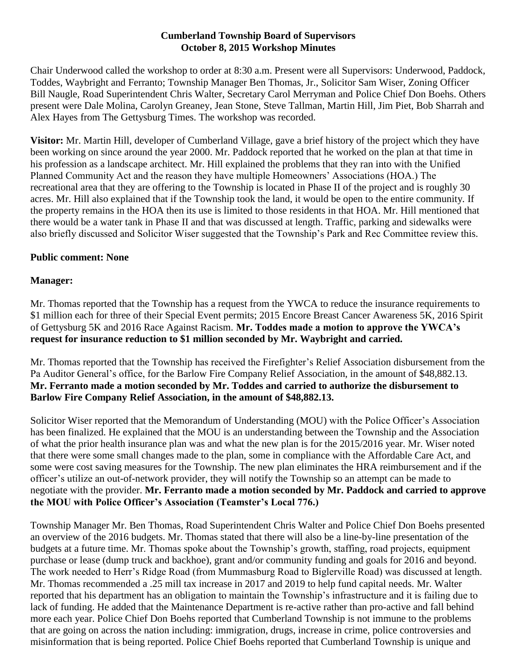## **Cumberland Township Board of Supervisors October 8, 2015 Workshop Minutes**

Chair Underwood called the workshop to order at 8:30 a.m. Present were all Supervisors: Underwood, Paddock, Toddes, Waybright and Ferranto; Township Manager Ben Thomas, Jr., Solicitor Sam Wiser, Zoning Officer Bill Naugle, Road Superintendent Chris Walter, Secretary Carol Merryman and Police Chief Don Boehs. Others present were Dale Molina, Carolyn Greaney, Jean Stone, Steve Tallman, Martin Hill, Jim Piet, Bob Sharrah and Alex Hayes from The Gettysburg Times. The workshop was recorded.

**Visitor:** Mr. Martin Hill, developer of Cumberland Village, gave a brief history of the project which they have been working on since around the year 2000. Mr. Paddock reported that he worked on the plan at that time in his profession as a landscape architect. Mr. Hill explained the problems that they ran into with the Unified Planned Community Act and the reason they have multiple Homeowners' Associations (HOA.) The recreational area that they are offering to the Township is located in Phase II of the project and is roughly 30 acres. Mr. Hill also explained that if the Township took the land, it would be open to the entire community. If the property remains in the HOA then its use is limited to those residents in that HOA. Mr. Hill mentioned that there would be a water tank in Phase II and that was discussed at length. Traffic, parking and sidewalks were also briefly discussed and Solicitor Wiser suggested that the Township's Park and Rec Committee review this.

## **Public comment: None**

## **Manager:**

Mr. Thomas reported that the Township has a request from the YWCA to reduce the insurance requirements to \$1 million each for three of their Special Event permits; 2015 Encore Breast Cancer Awareness 5K, 2016 Spirit of Gettysburg 5K and 2016 Race Against Racism. **Mr. Toddes made a motion to approve the YWCA's request for insurance reduction to \$1 million seconded by Mr. Waybright and carried.**

Mr. Thomas reported that the Township has received the Firefighter's Relief Association disbursement from the Pa Auditor General's office, for the Barlow Fire Company Relief Association, in the amount of \$48,882.13. **Mr. Ferranto made a motion seconded by Mr. Toddes and carried to authorize the disbursement to Barlow Fire Company Relief Association, in the amount of \$48,882.13.**

Solicitor Wiser reported that the Memorandum of Understanding (MOU) with the Police Officer's Association has been finalized. He explained that the MOU is an understanding between the Township and the Association of what the prior health insurance plan was and what the new plan is for the 2015/2016 year. Mr. Wiser noted that there were some small changes made to the plan, some in compliance with the Affordable Care Act, and some were cost saving measures for the Township. The new plan eliminates the HRA reimbursement and if the officer's utilize an out-of-network provider, they will notify the Township so an attempt can be made to negotiate with the provider. **Mr. Ferranto made a motion seconded by Mr. Paddock and carried to approve the MOU with Police Officer's Association (Teamster's Local 776.)**

Township Manager Mr. Ben Thomas, Road Superintendent Chris Walter and Police Chief Don Boehs presented an overview of the 2016 budgets. Mr. Thomas stated that there will also be a line-by-line presentation of the budgets at a future time. Mr. Thomas spoke about the Township's growth, staffing, road projects, equipment purchase or lease (dump truck and backhoe), grant and/or community funding and goals for 2016 and beyond. The work needed to Herr's Ridge Road (from Mummasburg Road to Biglerville Road) was discussed at length. Mr. Thomas recommended a .25 mill tax increase in 2017 and 2019 to help fund capital needs. Mr. Walter reported that his department has an obligation to maintain the Township's infrastructure and it is failing due to lack of funding. He added that the Maintenance Department is re-active rather than pro-active and fall behind more each year. Police Chief Don Boehs reported that Cumberland Township is not immune to the problems that are going on across the nation including: immigration, drugs, increase in crime, police controversies and misinformation that is being reported. Police Chief Boehs reported that Cumberland Township is unique and